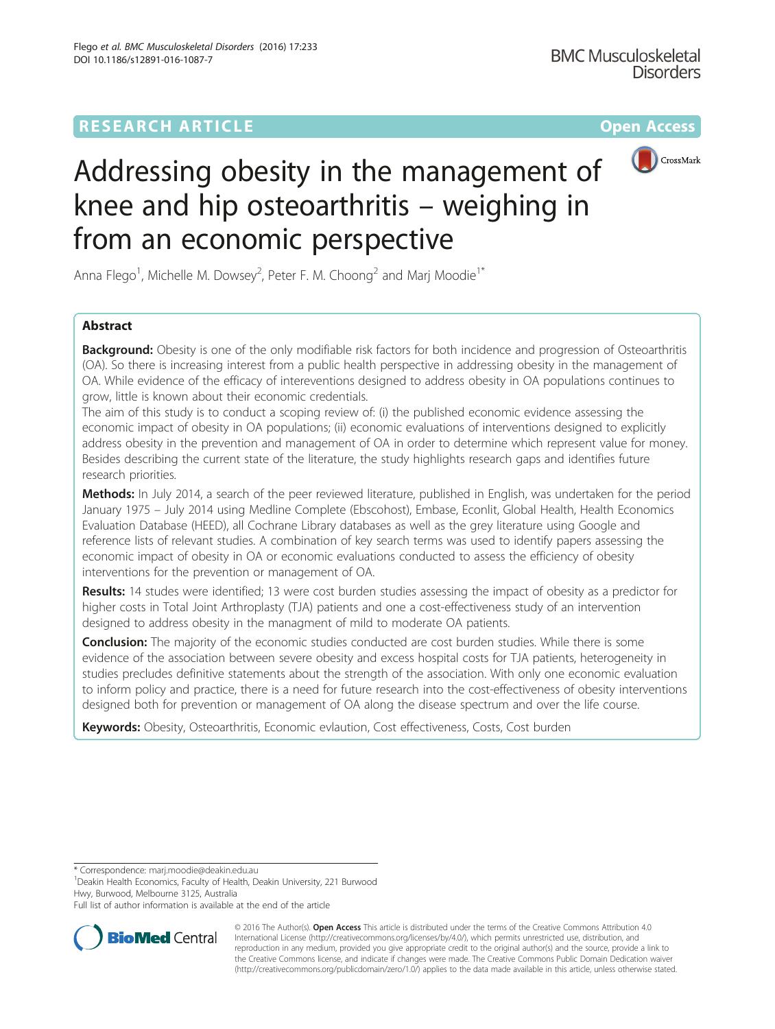# **RESEARCH ARTICLE Example 2014 12:30 The Community Community Community Community Community Community Community**



# Addressing obesity in the management of knee and hip osteoarthritis – weighing in from an economic perspective

Anna Flego<sup>1</sup>, Michelle M. Dowsey<sup>2</sup>, Peter F. M. Choong<sup>2</sup> and Marj Moodie<sup>1\*</sup>

# Abstract

Background: Obesity is one of the only modifiable risk factors for both incidence and progression of Osteoarthritis (OA). So there is increasing interest from a public health perspective in addressing obesity in the management of OA. While evidence of the efficacy of intereventions designed to address obesity in OA populations continues to grow, little is known about their economic credentials.

The aim of this study is to conduct a scoping review of: (i) the published economic evidence assessing the economic impact of obesity in OA populations; (ii) economic evaluations of interventions designed to explicitly address obesity in the prevention and management of OA in order to determine which represent value for money. Besides describing the current state of the literature, the study highlights research gaps and identifies future research priorities.

Methods: In July 2014, a search of the peer reviewed literature, published in English, was undertaken for the period January 1975 – July 2014 using Medline Complete (Ebscohost), Embase, Econlit, Global Health, Health Economics Evaluation Database (HEED), all Cochrane Library databases as well as the grey literature using Google and reference lists of relevant studies. A combination of key search terms was used to identify papers assessing the economic impact of obesity in OA or economic evaluations conducted to assess the efficiency of obesity interventions for the prevention or management of OA.

Results: 14 studes were identified; 13 were cost burden studies assessing the impact of obesity as a predictor for higher costs in Total Joint Arthroplasty (TJA) patients and one a cost-effectiveness study of an intervention designed to address obesity in the managment of mild to moderate OA patients.

**Conclusion:** The majority of the economic studies conducted are cost burden studies. While there is some evidence of the association between severe obesity and excess hospital costs for TJA patients, heterogeneity in studies precludes definitive statements about the strength of the association. With only one economic evaluation to inform policy and practice, there is a need for future research into the cost-effectiveness of obesity interventions designed both for prevention or management of OA along the disease spectrum and over the life course.

Keywords: Obesity, Osteoarthritis, Economic evlaution, Cost effectiveness, Costs, Cost burden

\* Correspondence: [marj.moodie@deakin.edu.au](mailto:marj.moodie@deakin.edu.au) <sup>1</sup>

<sup>1</sup> Deakin Health Economics, Faculty of Health, Deakin University, 221 Burwood Hwy, Burwood, Melbourne 3125, Australia

Full list of author information is available at the end of the article



© 2016 The Author(s). Open Access This article is distributed under the terms of the Creative Commons Attribution 4.0 International License [\(http://creativecommons.org/licenses/by/4.0/](http://creativecommons.org/licenses/by/4.0/)), which permits unrestricted use, distribution, and reproduction in any medium, provided you give appropriate credit to the original author(s) and the source, provide a link to the Creative Commons license, and indicate if changes were made. The Creative Commons Public Domain Dedication waiver [\(http://creativecommons.org/publicdomain/zero/1.0/](http://creativecommons.org/publicdomain/zero/1.0/)) applies to the data made available in this article, unless otherwise stated.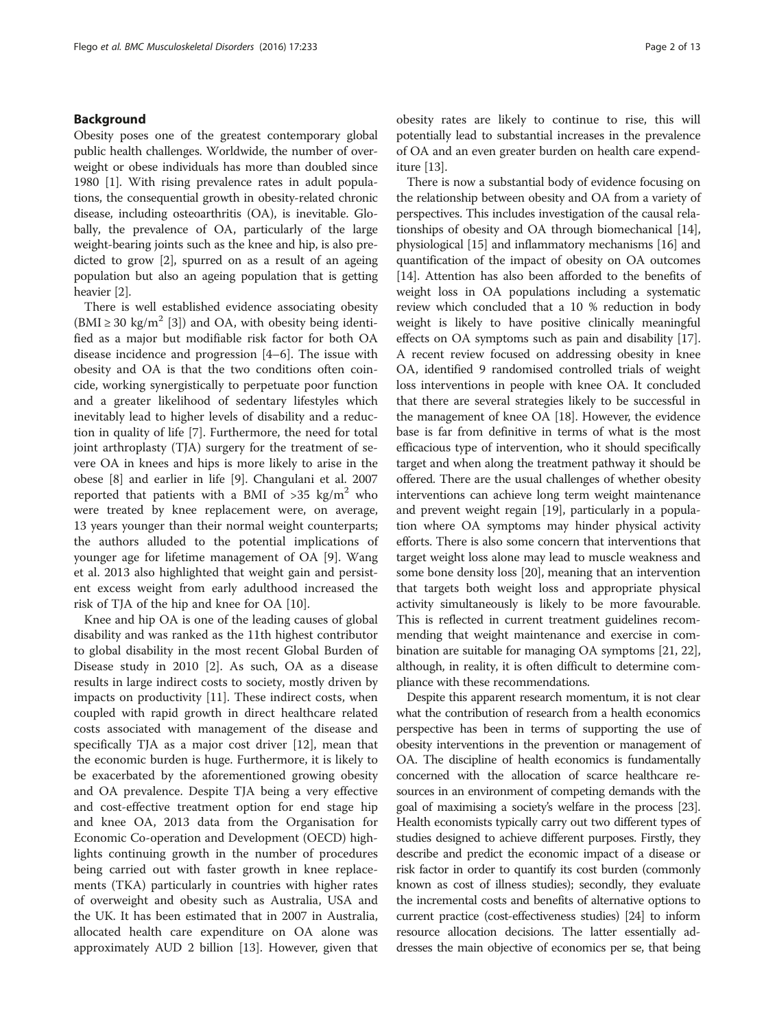# Background

Obesity poses one of the greatest contemporary global public health challenges. Worldwide, the number of overweight or obese individuals has more than doubled since 1980 [[1\]](#page-11-0). With rising prevalence rates in adult populations, the consequential growth in obesity-related chronic disease, including osteoarthritis (OA), is inevitable. Globally, the prevalence of OA, particularly of the large weight-bearing joints such as the knee and hip, is also predicted to grow [[2\]](#page-11-0), spurred on as a result of an ageing population but also an ageing population that is getting heavier [\[2\]](#page-11-0).

There is well established evidence associating obesity  $(BMI \ge 30 \text{ kg/m}^2$  [[3\]](#page-11-0)) and OA, with obesity being identified as a major but modifiable risk factor for both OA disease incidence and progression [\[4](#page-11-0)–[6](#page-11-0)]. The issue with obesity and OA is that the two conditions often coincide, working synergistically to perpetuate poor function and a greater likelihood of sedentary lifestyles which inevitably lead to higher levels of disability and a reduction in quality of life [[7\]](#page-11-0). Furthermore, the need for total joint arthroplasty (TJA) surgery for the treatment of severe OA in knees and hips is more likely to arise in the obese [[8\]](#page-11-0) and earlier in life [\[9](#page-11-0)]. Changulani et al. 2007 reported that patients with a BMI of  $>35$  kg/m<sup>2</sup> who were treated by knee replacement were, on average, 13 years younger than their normal weight counterparts; the authors alluded to the potential implications of younger age for lifetime management of OA [[9\]](#page-11-0). Wang et al. 2013 also highlighted that weight gain and persistent excess weight from early adulthood increased the risk of TJA of the hip and knee for OA [\[10\]](#page-11-0).

Knee and hip OA is one of the leading causes of global disability and was ranked as the 11th highest contributor to global disability in the most recent Global Burden of Disease study in 2010 [\[2\]](#page-11-0). As such, OA as a disease results in large indirect costs to society, mostly driven by impacts on productivity [[11](#page-11-0)]. These indirect costs, when coupled with rapid growth in direct healthcare related costs associated with management of the disease and specifically TJA as a major cost driver [\[12](#page-11-0)], mean that the economic burden is huge. Furthermore, it is likely to be exacerbated by the aforementioned growing obesity and OA prevalence. Despite TJA being a very effective and cost-effective treatment option for end stage hip and knee OA, 2013 data from the Organisation for Economic Co-operation and Development (OECD) highlights continuing growth in the number of procedures being carried out with faster growth in knee replacements (TKA) particularly in countries with higher rates of overweight and obesity such as Australia, USA and the UK. It has been estimated that in 2007 in Australia, allocated health care expenditure on OA alone was approximately AUD 2 billion [[13\]](#page-11-0). However, given that obesity rates are likely to continue to rise, this will potentially lead to substantial increases in the prevalence of OA and an even greater burden on health care expenditure [\[13\]](#page-11-0).

There is now a substantial body of evidence focusing on the relationship between obesity and OA from a variety of perspectives. This includes investigation of the causal relationships of obesity and OA through biomechanical [[14](#page-11-0)], physiological [\[15\]](#page-11-0) and inflammatory mechanisms [\[16\]](#page-11-0) and quantification of the impact of obesity on OA outcomes [[14](#page-11-0)]. Attention has also been afforded to the benefits of weight loss in OA populations including a systematic review which concluded that a 10 % reduction in body weight is likely to have positive clinically meaningful effects on OA symptoms such as pain and disability [[17](#page-11-0)]. A recent review focused on addressing obesity in knee OA, identified 9 randomised controlled trials of weight loss interventions in people with knee OA. It concluded that there are several strategies likely to be successful in the management of knee OA [\[18](#page-11-0)]. However, the evidence base is far from definitive in terms of what is the most efficacious type of intervention, who it should specifically target and when along the treatment pathway it should be offered. There are the usual challenges of whether obesity interventions can achieve long term weight maintenance and prevent weight regain [[19](#page-11-0)], particularly in a population where OA symptoms may hinder physical activity efforts. There is also some concern that interventions that target weight loss alone may lead to muscle weakness and some bone density loss [\[20](#page-11-0)], meaning that an intervention that targets both weight loss and appropriate physical activity simultaneously is likely to be more favourable. This is reflected in current treatment guidelines recommending that weight maintenance and exercise in combination are suitable for managing OA symptoms [\[21, 22](#page-11-0)], although, in reality, it is often difficult to determine compliance with these recommendations.

Despite this apparent research momentum, it is not clear what the contribution of research from a health economics perspective has been in terms of supporting the use of obesity interventions in the prevention or management of OA. The discipline of health economics is fundamentally concerned with the allocation of scarce healthcare resources in an environment of competing demands with the goal of maximising a society's welfare in the process [\[23](#page-11-0)]. Health economists typically carry out two different types of studies designed to achieve different purposes. Firstly, they describe and predict the economic impact of a disease or risk factor in order to quantify its cost burden (commonly known as cost of illness studies); secondly, they evaluate the incremental costs and benefits of alternative options to current practice (cost-effectiveness studies) [\[24\]](#page-11-0) to inform resource allocation decisions. The latter essentially addresses the main objective of economics per se, that being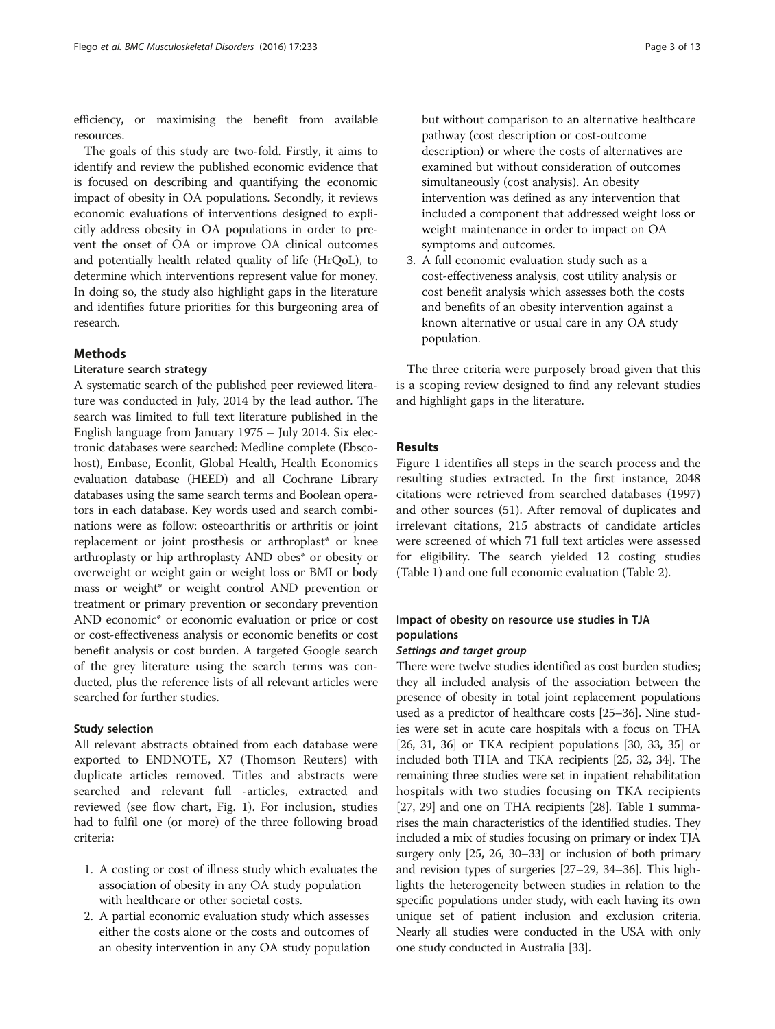efficiency, or maximising the benefit from available resources.

The goals of this study are two-fold. Firstly, it aims to identify and review the published economic evidence that is focused on describing and quantifying the economic impact of obesity in OA populations. Secondly, it reviews economic evaluations of interventions designed to explicitly address obesity in OA populations in order to prevent the onset of OA or improve OA clinical outcomes and potentially health related quality of life (HrQoL), to determine which interventions represent value for money. In doing so, the study also highlight gaps in the literature and identifies future priorities for this burgeoning area of research.

# **Methods**

# Literature search strategy

A systematic search of the published peer reviewed literature was conducted in July, 2014 by the lead author. The search was limited to full text literature published in the English language from January 1975 – July 2014. Six electronic databases were searched: Medline complete (Ebscohost), Embase, Econlit, Global Health, Health Economics evaluation database (HEED) and all Cochrane Library databases using the same search terms and Boolean operators in each database. Key words used and search combinations were as follow: osteoarthritis or arthritis or joint replacement or joint prosthesis or arthroplast\* or knee arthroplasty or hip arthroplasty AND obes\* or obesity or overweight or weight gain or weight loss or BMI or body mass or weight\* or weight control AND prevention or treatment or primary prevention or secondary prevention AND economic<sup>\*</sup> or economic evaluation or price or cost or cost-effectiveness analysis or economic benefits or cost benefit analysis or cost burden. A targeted Google search of the grey literature using the search terms was conducted, plus the reference lists of all relevant articles were searched for further studies.

# Study selection

All relevant abstracts obtained from each database were exported to ENDNOTE, X7 (Thomson Reuters) with duplicate articles removed. Titles and abstracts were searched and relevant full -articles, extracted and reviewed (see flow chart, Fig. [1\)](#page-3-0). For inclusion, studies had to fulfil one (or more) of the three following broad criteria:

- 1. A costing or cost of illness study which evaluates the association of obesity in any OA study population with healthcare or other societal costs.
- 2. A partial economic evaluation study which assesses either the costs alone or the costs and outcomes of an obesity intervention in any OA study population

but without comparison to an alternative healthcare pathway (cost description or cost-outcome description) or where the costs of alternatives are examined but without consideration of outcomes simultaneously (cost analysis). An obesity intervention was defined as any intervention that included a component that addressed weight loss or weight maintenance in order to impact on OA symptoms and outcomes.

3. A full economic evaluation study such as a cost-effectiveness analysis, cost utility analysis or cost benefit analysis which assesses both the costs and benefits of an obesity intervention against a known alternative or usual care in any OA study population.

The three criteria were purposely broad given that this is a scoping review designed to find any relevant studies and highlight gaps in the literature.

# Results

Figure [1](#page-3-0) identifies all steps in the search process and the resulting studies extracted. In the first instance, 2048 citations were retrieved from searched databases (1997) and other sources (51). After removal of duplicates and irrelevant citations, 215 abstracts of candidate articles were screened of which 71 full text articles were assessed for eligibility. The search yielded 12 costing studies (Table [1](#page-4-0)) and one full economic evaluation (Table [2\)](#page-7-0).

# Impact of obesity on resource use studies in TJA populations

### Settings and target group

There were twelve studies identified as cost burden studies; they all included analysis of the association between the presence of obesity in total joint replacement populations used as a predictor of healthcare costs [\[25](#page-11-0)–[36\]](#page-11-0). Nine studies were set in acute care hospitals with a focus on THA [[26](#page-11-0), [31, 36](#page-11-0)] or TKA recipient populations [[30, 33](#page-11-0), [35\]](#page-11-0) or included both THA and TKA recipients [\[25, 32, 34\]](#page-11-0). The remaining three studies were set in inpatient rehabilitation hospitals with two studies focusing on TKA recipients [[27](#page-11-0), [29\]](#page-11-0) and one on THA recipients [[28](#page-11-0)]. Table [1](#page-4-0) summarises the main characteristics of the identified studies. They included a mix of studies focusing on primary or index TJA surgery only [[25](#page-11-0), [26](#page-11-0), [30](#page-11-0)–[33\]](#page-11-0) or inclusion of both primary and revision types of surgeries [\[27](#page-11-0)–[29, 34](#page-11-0)–[36](#page-11-0)]. This highlights the heterogeneity between studies in relation to the specific populations under study, with each having its own unique set of patient inclusion and exclusion criteria. Nearly all studies were conducted in the USA with only one study conducted in Australia [\[33](#page-11-0)].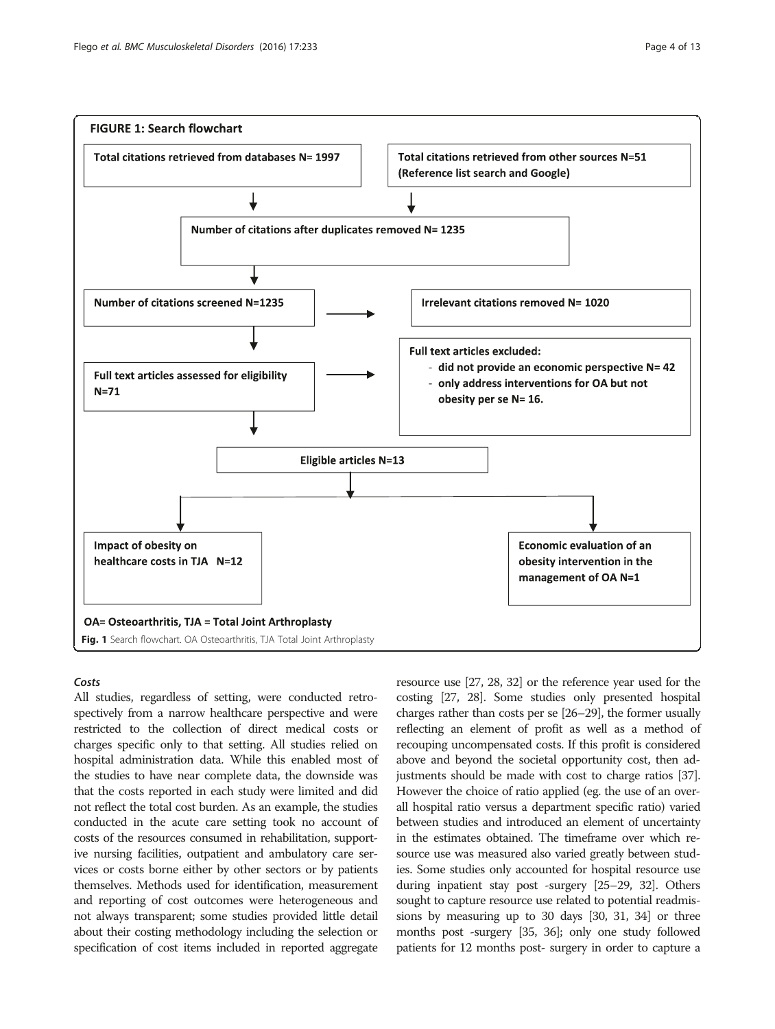

<span id="page-3-0"></span>

# Costs

All studies, regardless of setting, were conducted retrospectively from a narrow healthcare perspective and were restricted to the collection of direct medical costs or charges specific only to that setting. All studies relied on hospital administration data. While this enabled most of the studies to have near complete data, the downside was that the costs reported in each study were limited and did not reflect the total cost burden. As an example, the studies conducted in the acute care setting took no account of costs of the resources consumed in rehabilitation, supportive nursing facilities, outpatient and ambulatory care services or costs borne either by other sectors or by patients themselves. Methods used for identification, measurement and reporting of cost outcomes were heterogeneous and not always transparent; some studies provided little detail about their costing methodology including the selection or specification of cost items included in reported aggregate

resource use [\[27, 28](#page-11-0), [32\]](#page-11-0) or the reference year used for the costing [[27](#page-11-0), [28\]](#page-11-0). Some studies only presented hospital charges rather than costs per se [\[26](#page-11-0)–[29](#page-11-0)], the former usually reflecting an element of profit as well as a method of recouping uncompensated costs. If this profit is considered above and beyond the societal opportunity cost, then adjustments should be made with cost to charge ratios [\[37](#page-11-0)]. However the choice of ratio applied (eg. the use of an overall hospital ratio versus a department specific ratio) varied between studies and introduced an element of uncertainty in the estimates obtained. The timeframe over which resource use was measured also varied greatly between studies. Some studies only accounted for hospital resource use during inpatient stay post -surgery [\[25](#page-11-0)–[29, 32\]](#page-11-0). Others sought to capture resource use related to potential readmissions by measuring up to 30 days [[30, 31](#page-11-0), [34](#page-11-0)] or three months post -surgery [\[35, 36\]](#page-11-0); only one study followed patients for 12 months post- surgery in order to capture a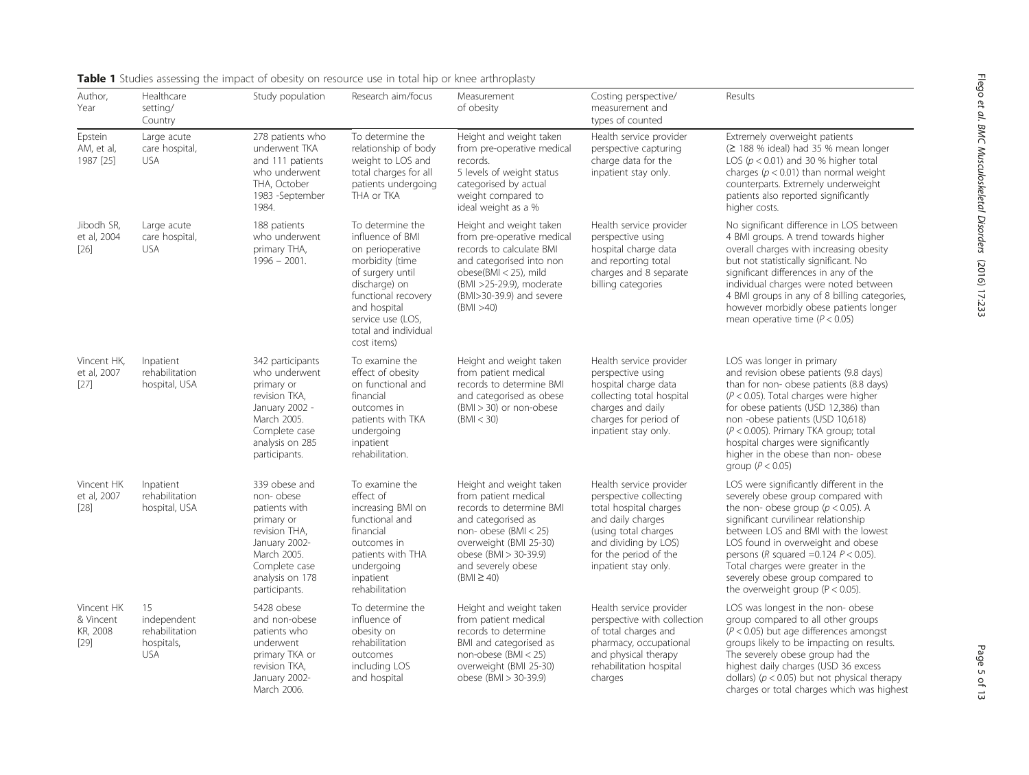| Author,<br>Year                               | Healthcare<br>setting/<br>Country                               | Study population                                                                                                                                                | Research aim/focus                                                                                                                                                                                                  | Measurement<br>of obesity                                                                                                                                                                                               | Costing perspective/<br>measurement and<br>types of counted                                                                                                                                       | Results                                                                                                                                                                                                                                                                                                                                                                                                   |
|-----------------------------------------------|-----------------------------------------------------------------|-----------------------------------------------------------------------------------------------------------------------------------------------------------------|---------------------------------------------------------------------------------------------------------------------------------------------------------------------------------------------------------------------|-------------------------------------------------------------------------------------------------------------------------------------------------------------------------------------------------------------------------|---------------------------------------------------------------------------------------------------------------------------------------------------------------------------------------------------|-----------------------------------------------------------------------------------------------------------------------------------------------------------------------------------------------------------------------------------------------------------------------------------------------------------------------------------------------------------------------------------------------------------|
| Epstein<br>AM, et al,<br>1987 [25]            | Large acute<br>care hospital,<br><b>USA</b>                     | 278 patients who<br>underwent TKA<br>and 111 patients<br>who underwent<br>THA, October<br>1983 -September<br>1984.                                              | To determine the<br>relationship of body<br>weight to LOS and<br>total charges for all<br>patients undergoing<br>THA or TKA                                                                                         | Height and weight taken<br>from pre-operative medical<br>records.<br>5 levels of weight status<br>categorised by actual<br>weight compared to<br>ideal weight as a %                                                    | Health service provider<br>perspective capturing<br>charge data for the<br>inpatient stay only.                                                                                                   | Extremely overweight patients<br>$(2188\%$ ideal) had 35 % mean longer<br>LOS ( $p < 0.01$ ) and 30 % higher total<br>charges ( $p < 0.01$ ) than normal weight<br>counterparts. Extremely underweight<br>patients also reported significantly<br>higher costs.                                                                                                                                           |
| Jibodh SR,<br>et al, 2004<br>$[26]$           | Large acute<br>care hospital,<br><b>USA</b>                     | 188 patients<br>who underwent<br>primary THA,<br>$1996 - 2001.$                                                                                                 | To determine the<br>influence of BMI<br>on perioperative<br>morbidity (time<br>of surgery until<br>discharge) on<br>functional recovery<br>and hospital<br>service use (LOS,<br>total and individual<br>cost items) | Height and weight taken<br>from pre-operative medical<br>records to calculate BMI<br>and categorised into non<br>obese(BMI < 25), mild<br>(BMI >25-29.9), moderate<br>(BMI>30-39.9) and severe<br>(BMI > 40)            | Health service provider<br>perspective using<br>hospital charge data<br>and reporting total<br>charges and 8 separate<br>billing categories                                                       | No significant difference in LOS between<br>4 BMI groups. A trend towards higher<br>overall charges with increasing obesity<br>but not statistically significant. No<br>significant differences in any of the<br>individual charges were noted between<br>4 BMI groups in any of 8 billing categories,<br>however morbidly obese patients longer<br>mean operative time ( $P < 0.05$ )                    |
| Vincent HK,<br>et al, 2007<br>[27]            | Inpatient<br>rehabilitation<br>hospital, USA                    | 342 participants<br>who underwent<br>primary or<br>revision TKA,<br>January 2002 -<br>March 2005.<br>Complete case<br>analysis on 285<br>participants.          | To examine the<br>effect of obesity<br>on functional and<br>financial<br>outcomes in<br>patients with TKA<br>undergoing<br>inpatient<br>rehabilitation.                                                             | Height and weight taken<br>from patient medical<br>records to determine BMI<br>and categorised as obese<br>$(BMI > 30)$ or non-obese<br>(BMI < 30)                                                                      | Health service provider<br>perspective using<br>hospital charge data<br>collecting total hospital<br>charges and daily<br>charges for period of<br>inpatient stay only.                           | LOS was longer in primary<br>and revision obese patients (9.8 days)<br>than for non- obese patients (8.8 days)<br>$(P < 0.05)$ . Total charges were higher<br>for obese patients (USD 12,386) than<br>non-obese patients (USD 10,618)<br>$(P < 0.005)$ . Primary TKA group; total<br>hospital charges were significantly<br>higher in the obese than non- obese<br>group ( $P < 0.05$ )                   |
| Vincent HK<br>et al, 2007<br>$[28]$           | Inpatient<br>rehabilitation<br>hospital, USA                    | 339 obese and<br>non-obese<br>patients with<br>primary or<br>revision THA,<br>January 2002-<br>March 2005.<br>Complete case<br>analysis on 178<br>participants. | To examine the<br>effect of<br>increasing BMI on<br>functional and<br>financial<br>outcomes in<br>patients with THA<br>undergoing<br>inpatient<br>rehabilitation                                                    | Height and weight taken<br>from patient medical<br>records to determine BMI<br>and categorised as<br>non-obese (BMI $<$ 25)<br>overweight (BMI 25-30)<br>obese (BMI > 30-39.9)<br>and severely obese<br>$(BMI \geq 40)$ | Health service provider<br>perspective collecting<br>total hospital charges<br>and daily charges<br>(using total charges<br>and dividing by LOS)<br>for the period of the<br>inpatient stay only. | LOS were significantly different in the<br>severely obese group compared with<br>the non- obese group ( $p < 0.05$ ). A<br>significant curvilinear relationship<br>between LOS and BMI with the lowest<br>LOS found in overweight and obese<br>persons ( $R$ squared =0.124 $P$ < 0.05).<br>Total charges were greater in the<br>severely obese group compared to<br>the overweight group ( $P < 0.05$ ). |
| Vincent HK<br>& Vincent<br>KR, 2008<br>$[29]$ | 15<br>independent<br>rehabilitation<br>hospitals,<br><b>USA</b> | 5428 obese<br>and non-obese<br>patients who<br>underwent<br>primary TKA or<br>revision TKA,<br>January 2002-<br>March 2006.                                     | To determine the<br>influence of<br>obesity on<br>rehabilitation<br>outcomes<br>including LOS<br>and hospital                                                                                                       | Height and weight taken<br>from patient medical<br>records to determine<br>BMI and categorised as<br>non-obese (BMI $<$ 25)<br>overweight (BMI 25-30)<br>obese (BMI > 30-39.9)                                          | Health service provider<br>perspective with collection<br>of total charges and<br>pharmacy, occupational<br>and physical therapy<br>rehabilitation hospital<br>charges                            | LOS was longest in the non- obese<br>group compared to all other groups<br>$(P < 0.05)$ but age differences amongst<br>groups likely to be impacting on results.<br>The severely obese group had the<br>highest daily charges (USD 36 excess<br>dollars) ( $p < 0.05$ ) but not physical therapy<br>charges or total charges which was highest                                                            |

<span id="page-4-0"></span>Table 1 Studies assessing the impact of obesity on resource use in total hip or knee arthroplasty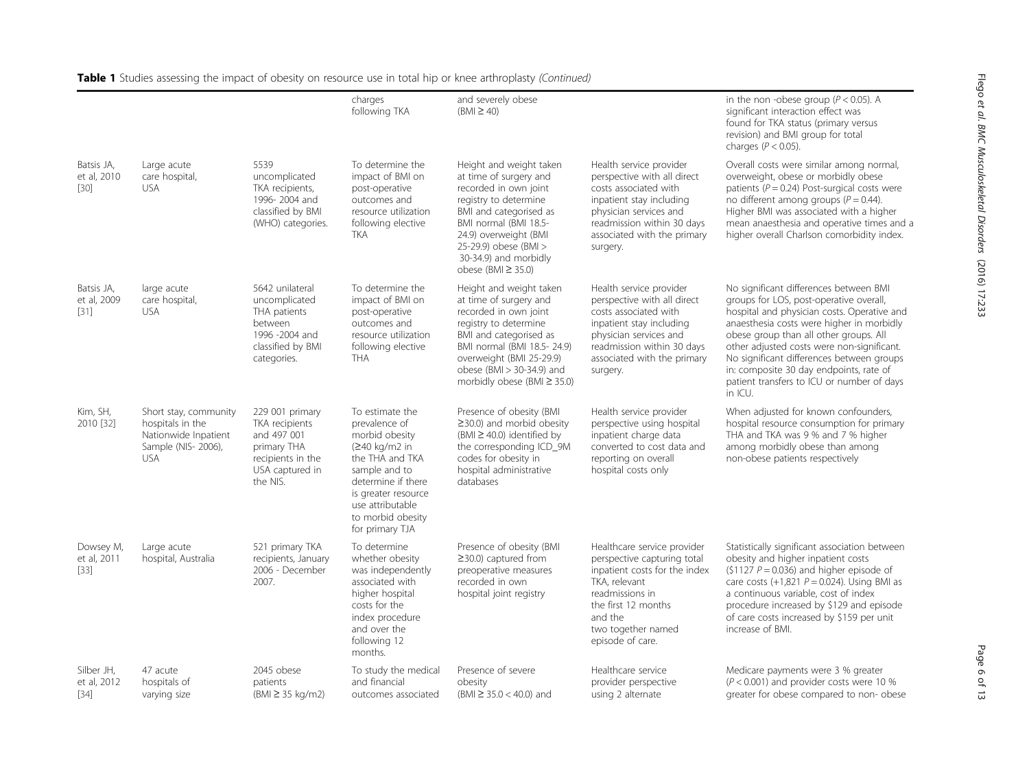|                                     |                                                                                                        |                                                                                                                     | charges<br>following TKA                                                                                                                                                                                         | and severely obese<br>$(BMI \geq 40)$                                                                                                                                                                                                                        |                                                                                                                                                                                                                | in the non-obese group ( $P < 0.05$ ). A<br>significant interaction effect was<br>found for TKA status (primary versus<br>revision) and BMI group for total<br>charges ( $P < 0.05$ ).                                                                                                                                                                                                                                 |
|-------------------------------------|--------------------------------------------------------------------------------------------------------|---------------------------------------------------------------------------------------------------------------------|------------------------------------------------------------------------------------------------------------------------------------------------------------------------------------------------------------------|--------------------------------------------------------------------------------------------------------------------------------------------------------------------------------------------------------------------------------------------------------------|----------------------------------------------------------------------------------------------------------------------------------------------------------------------------------------------------------------|------------------------------------------------------------------------------------------------------------------------------------------------------------------------------------------------------------------------------------------------------------------------------------------------------------------------------------------------------------------------------------------------------------------------|
| Batsis JA,<br>et al, 2010<br>$[30]$ | Large acute<br>care hospital,<br><b>USA</b>                                                            | 5539<br>uncomplicated<br>TKA recipients,<br>1996-2004 and<br>classified by BMI<br>(WHO) categories.                 | To determine the<br>impact of BMI on<br>post-operative<br>outcomes and<br>resource utilization<br>following elective<br><b>TKA</b>                                                                               | Height and weight taken<br>at time of surgery and<br>recorded in own joint<br>registry to determine<br>BMI and categorised as<br>BMI normal (BMI 18.5-<br>24.9) overweight (BMI<br>25-29.9) obese (BMI ><br>30-34.9) and morbidly<br>obese (BMI $\geq$ 35.0) | Health service provider<br>perspective with all direct<br>costs associated with<br>inpatient stay including<br>physician services and<br>readmission within 30 days<br>associated with the primary<br>surgery. | Overall costs were similar among normal,<br>overweight, obese or morbidly obese<br>patients ( $P = 0.24$ ) Post-surgical costs were<br>no different among groups ( $P = 0.44$ ).<br>Higher BMI was associated with a higher<br>mean anaesthesia and operative times and a<br>higher overall Charlson comorbidity index.                                                                                                |
| Batsis JA,<br>et al, 2009<br>$[31]$ | large acute<br>care hospital,<br><b>USA</b>                                                            | 5642 unilateral<br>uncomplicated<br>THA patients<br>between<br>1996 -2004 and<br>classified by BMI<br>categories.   | To determine the<br>impact of BMI on<br>post-operative<br>outcomes and<br>resource utilization<br>following elective<br><b>THA</b>                                                                               | Height and weight taken<br>at time of surgery and<br>recorded in own joint<br>registry to determine<br>BMI and categorised as<br>BMI normal (BMI 18.5-24.9)<br>overweight (BMI 25-29.9)<br>obese (BMI > 30-34.9) and<br>morbidly obese (BMI $\geq$ 35.0)     | Health service provider<br>perspective with all direct<br>costs associated with<br>inpatient stay including<br>physician services and<br>readmission within 30 days<br>associated with the primary<br>surgery. | No significant differences between BMI<br>groups for LOS, post-operative overall,<br>hospital and physician costs. Operative and<br>anaesthesia costs were higher in morbidly<br>obese group than all other groups. All<br>other adjusted costs were non-significant.<br>No significant differences between groups<br>in: composite 30 day endpoints, rate of<br>patient transfers to ICU or number of days<br>in ICU. |
| Kim, SH,<br>2010 [32]               | Short stay, community<br>hospitals in the<br>Nationwide Inpatient<br>Sample (NIS- 2006),<br><b>USA</b> | 229 001 primary<br>TKA recipients<br>and 497 001<br>primary THA<br>recipients in the<br>USA captured in<br>the NIS. | To estimate the<br>prevalence of<br>morbid obesity<br>(≥40 kg/m2 in<br>the THA and TKA<br>sample and to<br>determine if there<br>is greater resource<br>use attributable<br>to morbid obesity<br>for primary TJA | Presence of obesity (BMI<br>$\geq$ 30.0) and morbid obesity<br>$(BMI \ge 40.0)$ identified by<br>the corresponding ICD_9M<br>codes for obesity in<br>hospital administrative<br>databases                                                                    | Health service provider<br>perspective using hospital<br>inpatient charge data<br>converted to cost data and<br>reporting on overall<br>hospital costs only                                                    | When adjusted for known confounders,<br>hospital resource consumption for primary<br>THA and TKA was 9 % and 7 % higher<br>among morbidly obese than among<br>non-obese patients respectively                                                                                                                                                                                                                          |
| Dowsey M,<br>et al, 2011<br>$[33]$  | Large acute<br>hospital, Australia                                                                     | 521 primary TKA<br>recipients, January<br>2006 - December<br>2007.                                                  | To determine<br>whether obesity<br>was independently<br>associated with<br>higher hospital<br>costs for the<br>index procedure<br>and over the<br>following 12<br>months.                                        | Presence of obesity (BMI<br>$\geq$ 30.0) captured from<br>preoperative measures<br>recorded in own<br>hospital joint registry                                                                                                                                | Healthcare service provider<br>perspective capturing total<br>inpatient costs for the index<br>TKA, relevant<br>readmissions in<br>the first 12 months<br>and the<br>two together named<br>episode of care.    | Statistically significant association between<br>obesity and higher inpatient costs<br>$(51127 P = 0.036)$ and higher episode of<br>care costs $(+1,821 \ P = 0.024)$ . Using BMI as<br>a continuous variable, cost of index<br>procedure increased by \$129 and episode<br>of care costs increased by \$159 per unit<br>increase of BMI.                                                                              |
| Silber JH,<br>et al, 2012<br>$[34]$ | 47 acute<br>hospitals of<br>varying size                                                               | 2045 obese<br>patients<br>$(BMI \geq 35 \text{ kg/m2})$                                                             | To study the medical<br>and financial<br>outcomes associated                                                                                                                                                     | Presence of severe<br>obesity<br>(BMI $\geq$ 35.0 < 40.0) and                                                                                                                                                                                                | Healthcare service<br>provider perspective<br>using 2 alternate                                                                                                                                                | Medicare payments were 3 % greater<br>( $P < 0.001$ ) and provider costs were 10 %<br>greater for obese compared to non-obese                                                                                                                                                                                                                                                                                          |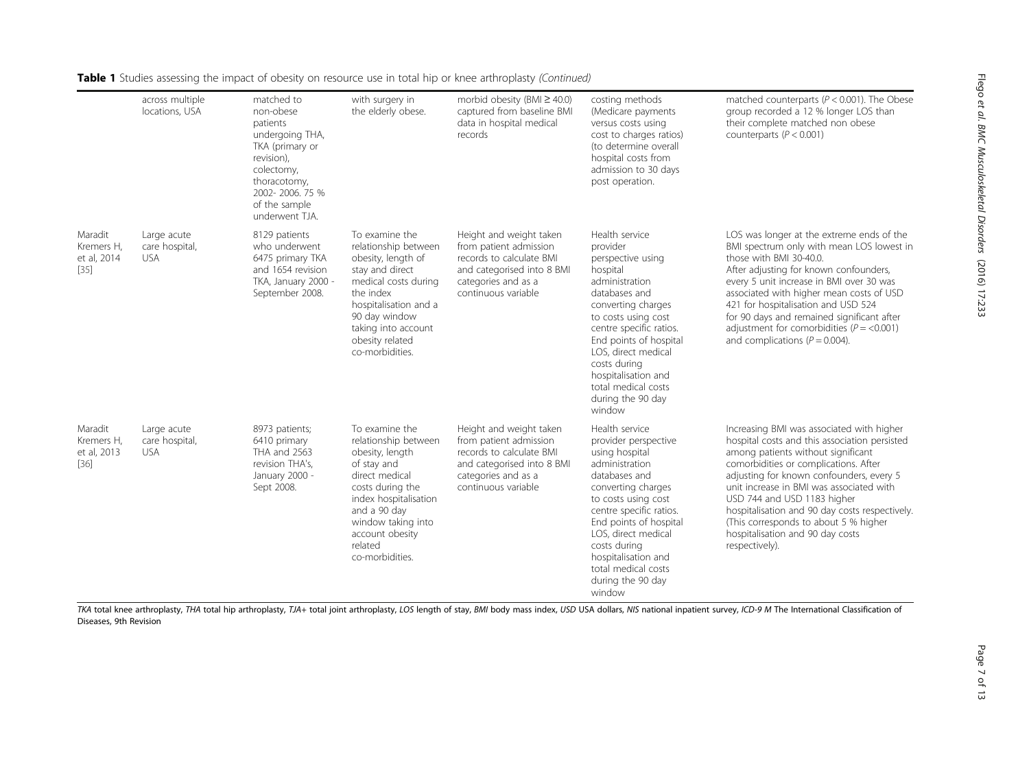Flego

et al. BMC

Musculoskeletal

Disorders

(2016) 17:233

| <b>Table 1</b> Studies assessing the impact of obesity on resource use in total hip or knee arthroplasty (Continued) |                 |            |                 |                                                  |  |  |  |  |
|----------------------------------------------------------------------------------------------------------------------|-----------------|------------|-----------------|--------------------------------------------------|--|--|--|--|
|                                                                                                                      | across multiple | matched to | with surgery in | morbid obesity (BMI $\geq$ 40.0) costing methods |  |  |  |  |

|                                                | across multiple<br>locations, USA           | matched to<br>non-obese<br>patients<br>undergoing THA,<br>TKA (primary or<br>revision),<br>colectomy,<br>thoracotomy,<br>2002-2006.75%<br>of the sample<br>underwent TJA. | with surgery in<br>the elderly obese.                                                                                                                                                                                          | morbid obesity (BMI $\geq$ 40.0)<br>captured from baseline BMI<br>data in hospital medical<br>records                                                     | costing methods<br>(Medicare payments<br>versus costs using<br>cost to charges ratios)<br>(to determine overall<br>hospital costs from<br>admission to 30 days<br>post operation.                                                                                                                                    | matched counterparts ( $P < 0.001$ ). The Obese<br>group recorded a 12 % longer LOS than<br>their complete matched non obese<br>counterparts ( $P < 0.001$ )                                                                                                                                                                                                                                                                                      |
|------------------------------------------------|---------------------------------------------|---------------------------------------------------------------------------------------------------------------------------------------------------------------------------|--------------------------------------------------------------------------------------------------------------------------------------------------------------------------------------------------------------------------------|-----------------------------------------------------------------------------------------------------------------------------------------------------------|----------------------------------------------------------------------------------------------------------------------------------------------------------------------------------------------------------------------------------------------------------------------------------------------------------------------|---------------------------------------------------------------------------------------------------------------------------------------------------------------------------------------------------------------------------------------------------------------------------------------------------------------------------------------------------------------------------------------------------------------------------------------------------|
| Maradit<br>Kremers H,<br>et al, 2014<br>$[35]$ | Large acute<br>care hospital,<br>USA.       | 8129 patients<br>who underwent<br>6475 primary TKA<br>and 1654 revision<br>TKA, January 2000 -<br>September 2008.                                                         | To examine the<br>relationship between<br>obesity, length of<br>stay and direct<br>medical costs during<br>the index<br>hospitalisation and a<br>90 day window<br>taking into account<br>obesity related<br>co-morbidities.    | Height and weight taken<br>from patient admission<br>records to calculate BMI<br>and categorised into 8 BMI<br>categories and as a<br>continuous variable | Health service<br>provider<br>perspective using<br>hospital<br>administration<br>databases and<br>converting charges<br>to costs using cost<br>centre specific ratios.<br>End points of hospital<br>LOS, direct medical<br>costs during<br>hospitalisation and<br>total medical costs<br>during the 90 day<br>window | LOS was longer at the extreme ends of the<br>BMI spectrum only with mean LOS lowest in<br>those with BMI 30-40.0.<br>After adjusting for known confounders,<br>every 5 unit increase in BMI over 30 was<br>associated with higher mean costs of USD<br>421 for hospitalisation and USD 524<br>for 90 days and remained significant after<br>adjustment for comorbidities ( $P = < 0.001$ )<br>and complications ( $P = 0.004$ ).                  |
| Maradit<br>Kremers H,<br>et al, 2013<br>$[36]$ | Large acute<br>care hospital,<br><b>USA</b> | 8973 patients;<br>6410 primary<br>THA and 2563<br>revision THA's,<br>January 2000 -<br>Sept 2008.                                                                         | To examine the<br>relationship between<br>obesity, length<br>of stay and<br>direct medical<br>costs during the<br>index hospitalisation<br>and a 90 day<br>window taking into<br>account obesity<br>related<br>co-morbidities. | Height and weight taken<br>from patient admission<br>records to calculate BMI<br>and categorised into 8 BMI<br>categories and as a<br>continuous variable | Health service<br>provider perspective<br>using hospital<br>administration<br>databases and<br>converting charges<br>to costs using cost<br>centre specific ratios.<br>End points of hospital<br>LOS, direct medical<br>costs during<br>hospitalisation and<br>total medical costs<br>during the 90 day<br>window    | Increasing BMI was associated with higher<br>hospital costs and this association persisted<br>among patients without significant<br>comorbidities or complications. After<br>adjusting for known confounders, every 5<br>unit increase in BMI was associated with<br>USD 744 and USD 1183 higher<br>hospitalisation and 90 day costs respectively.<br>(This corresponds to about 5 % higher<br>hospitalisation and 90 day costs<br>respectively). |

TKA total knee arthroplasty, THA total hip arthroplasty, TJA+ total joint arthroplasty, LOS length of stay, BMI body mass index, USD USA dollars, NIS national inpatient survey, ICD-9 M The International Classification of Diseases, 9th Revision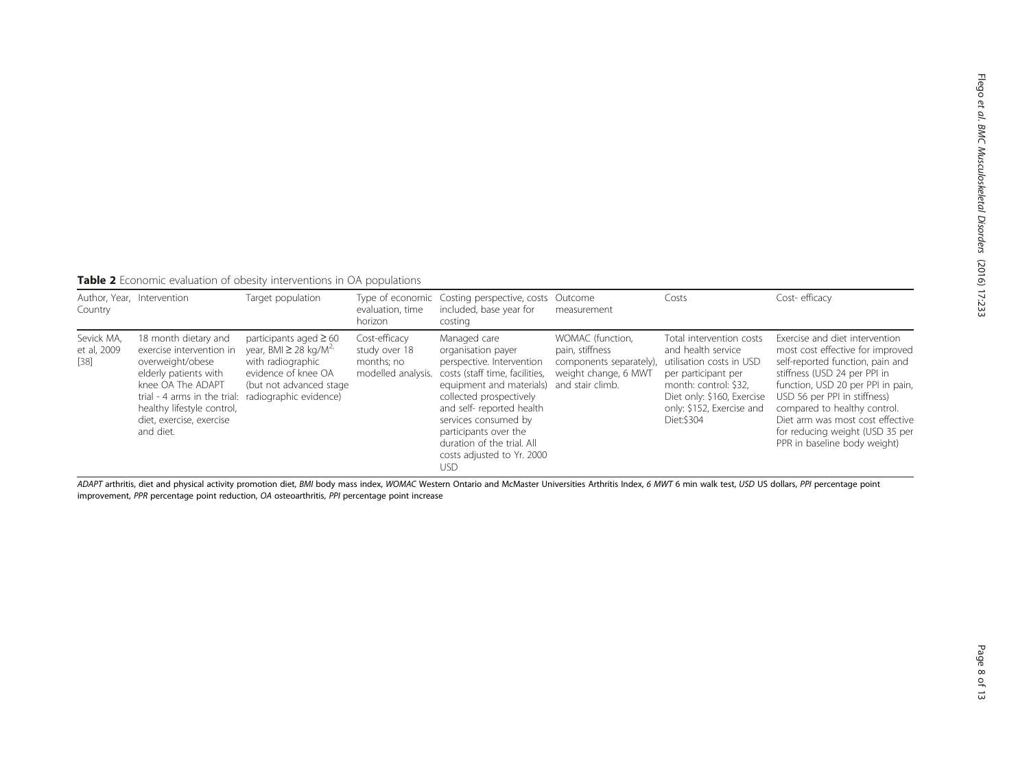<span id="page-7-0"></span>Table 2 Economic evaluation of obesity interventions in OA populations

| Country                             | Author, Year, Intervention                                                                                                                                                                                                                       | Target population                                                                                                                            | evaluation, time<br>horizon                                        | Type of economic Costing perspective, costs Outcome<br>included, base year for<br>costing                                                                                                                                                                                                                        | measurement                                                                                                | Costs                                                                                                                                                                                                | Cost-efficacy                                                                                                                                                                                                                                                                                                                                      |
|-------------------------------------|--------------------------------------------------------------------------------------------------------------------------------------------------------------------------------------------------------------------------------------------------|----------------------------------------------------------------------------------------------------------------------------------------------|--------------------------------------------------------------------|------------------------------------------------------------------------------------------------------------------------------------------------------------------------------------------------------------------------------------------------------------------------------------------------------------------|------------------------------------------------------------------------------------------------------------|------------------------------------------------------------------------------------------------------------------------------------------------------------------------------------------------------|----------------------------------------------------------------------------------------------------------------------------------------------------------------------------------------------------------------------------------------------------------------------------------------------------------------------------------------------------|
| Sevick MA,<br>et al, 2009<br>$[38]$ | 18 month dietary and<br>exercise intervention in<br>overweight/obese<br>elderly patients with<br>knee OA The ADAPT<br>trial - 4 arms in the trial: radiographic evidence)<br>healthy lifestyle control,<br>diet, exercise, exercise<br>and diet. | participants aged $\geq 60$<br>year, BMI $\geq$ 28 kg/M <sup>2</sup><br>with radiographic<br>evidence of knee OA<br>(but not advanced stage) | Cost-efficacy<br>study over 18<br>months; no<br>modelled analysis. | Managed care<br>organisation payer<br>perspective. Intervention<br>costs (staff time, facilities,<br>equipment and materials)<br>collected prospectively<br>and self- reported health<br>services consumed by<br>participants over the<br>duration of the trial. All<br>costs adjusted to Yr. 2000<br><b>USD</b> | WOMAC (function,<br>pain, stiffness<br>components separately),<br>weight change, 6 MWT<br>and stair climb. | Total intervention costs<br>and health service<br>utilisation costs in USD<br>per participant per<br>month: control: \$32,<br>Diet only: \$160, Exercise<br>only: \$152, Exercise and<br>Diet: \$304 | Exercise and diet intervention<br>most cost effective for improved<br>self-reported function, pain and<br>stiffness (USD 24 per PPI in<br>function, USD 20 per PPI in pain,<br>USD 56 per PPI in stiffness)<br>compared to healthy control.<br>Diet arm was most cost effective<br>for reducing weight (USD 35 per<br>PPR in baseline body weight) |

ADAPT arthritis, diet and physical activity promotion diet, BMI body mass index, WOMAC Western Ontario and McMaster Universities Arthritis Index, 6 MWT 6 min walk test, USD US dollars, PPI percentage point improvement, PPR percentage point reduction, OA osteoarthritis, PPI percentage point increase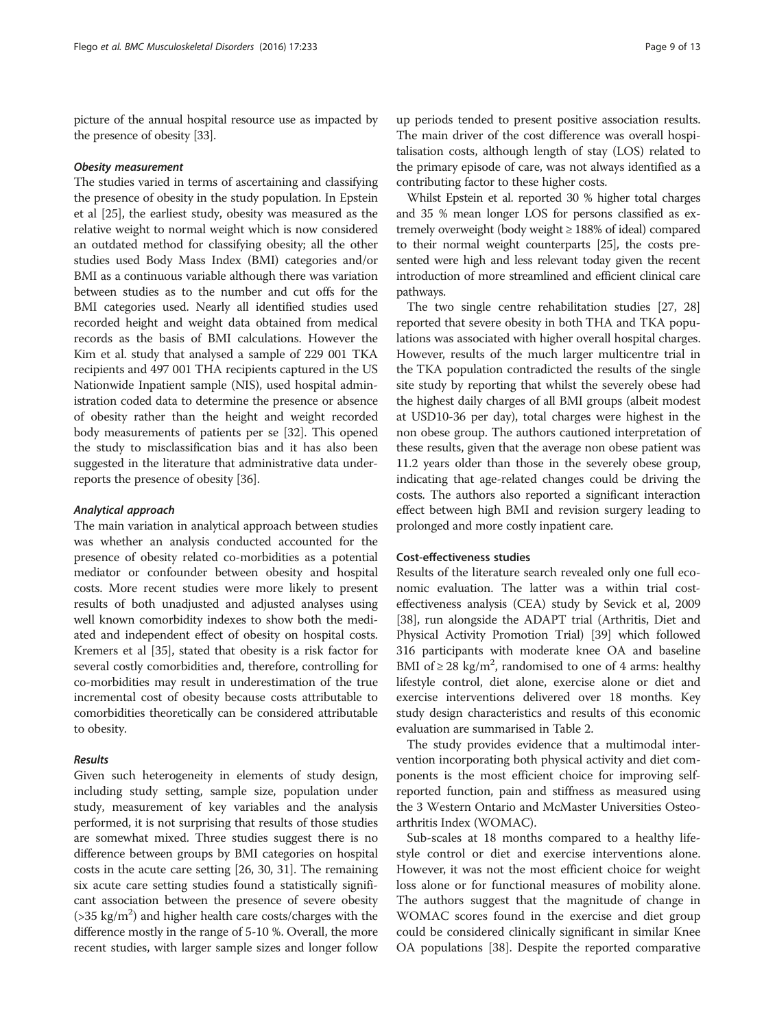picture of the annual hospital resource use as impacted by the presence of obesity [[33\]](#page-11-0).

#### Obesity measurement

The studies varied in terms of ascertaining and classifying the presence of obesity in the study population. In Epstein et al [\[25\]](#page-11-0), the earliest study, obesity was measured as the relative weight to normal weight which is now considered an outdated method for classifying obesity; all the other studies used Body Mass Index (BMI) categories and/or BMI as a continuous variable although there was variation between studies as to the number and cut offs for the BMI categories used. Nearly all identified studies used recorded height and weight data obtained from medical records as the basis of BMI calculations. However the Kim et al. study that analysed a sample of 229 001 TKA recipients and 497 001 THA recipients captured in the US Nationwide Inpatient sample (NIS), used hospital administration coded data to determine the presence or absence of obesity rather than the height and weight recorded body measurements of patients per se [\[32\]](#page-11-0). This opened the study to misclassification bias and it has also been suggested in the literature that administrative data underreports the presence of obesity [[36](#page-11-0)].

#### Analytical approach

The main variation in analytical approach between studies was whether an analysis conducted accounted for the presence of obesity related co-morbidities as a potential mediator or confounder between obesity and hospital costs. More recent studies were more likely to present results of both unadjusted and adjusted analyses using well known comorbidity indexes to show both the mediated and independent effect of obesity on hospital costs. Kremers et al [\[35\]](#page-11-0), stated that obesity is a risk factor for several costly comorbidities and, therefore, controlling for co-morbidities may result in underestimation of the true incremental cost of obesity because costs attributable to comorbidities theoretically can be considered attributable to obesity.

#### Results

Given such heterogeneity in elements of study design, including study setting, sample size, population under study, measurement of key variables and the analysis performed, it is not surprising that results of those studies are somewhat mixed. Three studies suggest there is no difference between groups by BMI categories on hospital costs in the acute care setting [\[26, 30, 31\]](#page-11-0). The remaining six acute care setting studies found a statistically significant association between the presence of severe obesity  $($ >35 kg/m<sup>2</sup> $)$  and higher health care costs/charges with the difference mostly in the range of 5-10 %. Overall, the more recent studies, with larger sample sizes and longer follow

up periods tended to present positive association results. The main driver of the cost difference was overall hospitalisation costs, although length of stay (LOS) related to the primary episode of care, was not always identified as a contributing factor to these higher costs.

Whilst Epstein et al. reported 30 % higher total charges and 35 % mean longer LOS for persons classified as extremely overweight (body weight ≥ 188% of ideal) compared to their normal weight counterparts [[25\]](#page-11-0), the costs presented were high and less relevant today given the recent introduction of more streamlined and efficient clinical care pathways.

The two single centre rehabilitation studies [[27](#page-11-0), [28](#page-11-0)] reported that severe obesity in both THA and TKA populations was associated with higher overall hospital charges. However, results of the much larger multicentre trial in the TKA population contradicted the results of the single site study by reporting that whilst the severely obese had the highest daily charges of all BMI groups (albeit modest at USD10-36 per day), total charges were highest in the non obese group. The authors cautioned interpretation of these results, given that the average non obese patient was 11.2 years older than those in the severely obese group, indicating that age-related changes could be driving the costs. The authors also reported a significant interaction effect between high BMI and revision surgery leading to prolonged and more costly inpatient care.

# Cost-effectiveness studies

Results of the literature search revealed only one full economic evaluation. The latter was a within trial costeffectiveness analysis (CEA) study by Sevick et al, 2009 [[38](#page-11-0)], run alongside the ADAPT trial (Arthritis, Diet and Physical Activity Promotion Trial) [\[39\]](#page-11-0) which followed 316 participants with moderate knee OA and baseline BMI of  $\geq$  28 kg/m<sup>2</sup>, randomised to one of 4 arms: healthy lifestyle control, diet alone, exercise alone or diet and exercise interventions delivered over 18 months. Key study design characteristics and results of this economic evaluation are summarised in Table [2](#page-7-0).

The study provides evidence that a multimodal intervention incorporating both physical activity and diet components is the most efficient choice for improving selfreported function, pain and stiffness as measured using the 3 Western Ontario and McMaster Universities Osteoarthritis Index (WOMAC).

Sub-scales at 18 months compared to a healthy lifestyle control or diet and exercise interventions alone. However, it was not the most efficient choice for weight loss alone or for functional measures of mobility alone. The authors suggest that the magnitude of change in WOMAC scores found in the exercise and diet group could be considered clinically significant in similar Knee OA populations [[38](#page-11-0)]. Despite the reported comparative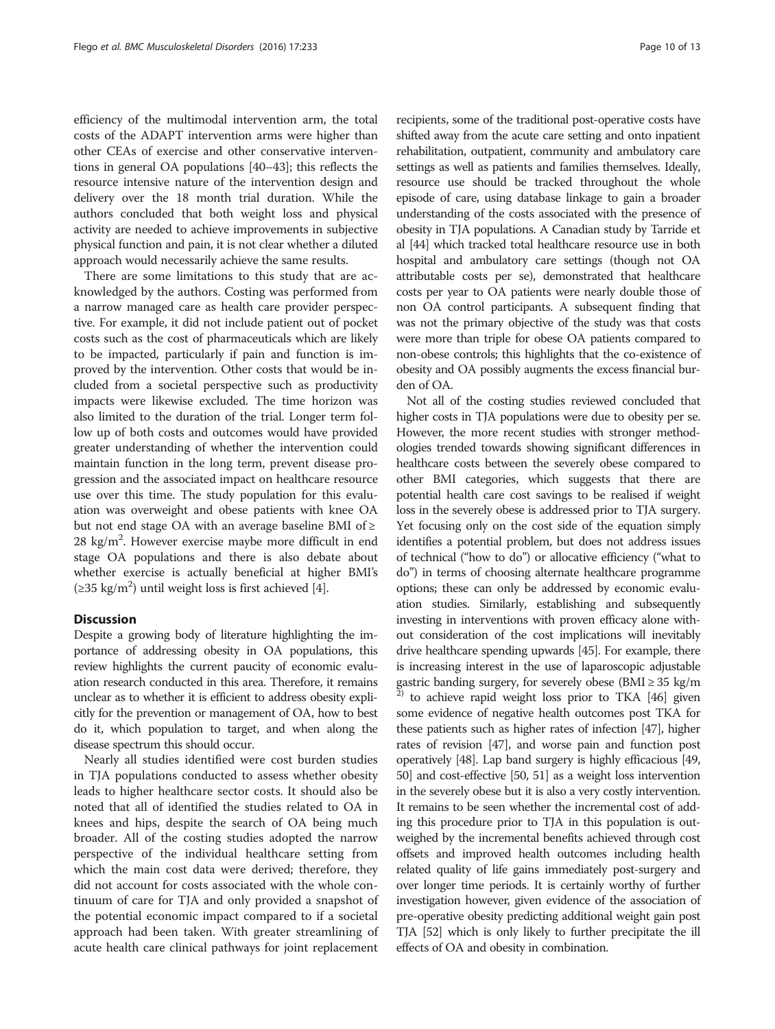efficiency of the multimodal intervention arm, the total costs of the ADAPT intervention arms were higher than other CEAs of exercise and other conservative interventions in general OA populations [\[40](#page-12-0)–[43](#page-12-0)]; this reflects the resource intensive nature of the intervention design and delivery over the 18 month trial duration. While the authors concluded that both weight loss and physical activity are needed to achieve improvements in subjective physical function and pain, it is not clear whether a diluted approach would necessarily achieve the same results.

There are some limitations to this study that are acknowledged by the authors. Costing was performed from a narrow managed care as health care provider perspective. For example, it did not include patient out of pocket costs such as the cost of pharmaceuticals which are likely to be impacted, particularly if pain and function is improved by the intervention. Other costs that would be included from a societal perspective such as productivity impacts were likewise excluded. The time horizon was also limited to the duration of the trial. Longer term follow up of both costs and outcomes would have provided greater understanding of whether the intervention could maintain function in the long term, prevent disease progression and the associated impact on healthcare resource use over this time. The study population for this evaluation was overweight and obese patients with knee OA but not end stage OA with an average baseline BMI of  $\geq$ 28 kg/m<sup>2</sup>. However exercise maybe more difficult in end stage OA populations and there is also debate about whether exercise is actually beneficial at higher BMI's (≥35 kg/m<sup>2</sup>) until weight loss is first achieved [[4\]](#page-11-0).

# **Discussion**

Despite a growing body of literature highlighting the importance of addressing obesity in OA populations, this review highlights the current paucity of economic evaluation research conducted in this area. Therefore, it remains unclear as to whether it is efficient to address obesity explicitly for the prevention or management of OA, how to best do it, which population to target, and when along the disease spectrum this should occur.

Nearly all studies identified were cost burden studies in TJA populations conducted to assess whether obesity leads to higher healthcare sector costs. It should also be noted that all of identified the studies related to OA in knees and hips, despite the search of OA being much broader. All of the costing studies adopted the narrow perspective of the individual healthcare setting from which the main cost data were derived; therefore, they did not account for costs associated with the whole continuum of care for TJA and only provided a snapshot of the potential economic impact compared to if a societal approach had been taken. With greater streamlining of acute health care clinical pathways for joint replacement shifted away from the acute care setting and onto inpatient rehabilitation, outpatient, community and ambulatory care settings as well as patients and families themselves. Ideally, resource use should be tracked throughout the whole episode of care, using database linkage to gain a broader understanding of the costs associated with the presence of obesity in TJA populations. A Canadian study by Tarride et al [[44](#page-12-0)] which tracked total healthcare resource use in both hospital and ambulatory care settings (though not OA attributable costs per se), demonstrated that healthcare costs per year to OA patients were nearly double those of non OA control participants. A subsequent finding that was not the primary objective of the study was that costs were more than triple for obese OA patients compared to non-obese controls; this highlights that the co-existence of obesity and OA possibly augments the excess financial burden of OA.

Not all of the costing studies reviewed concluded that higher costs in TJA populations were due to obesity per se. However, the more recent studies with stronger methodologies trended towards showing significant differences in healthcare costs between the severely obese compared to other BMI categories, which suggests that there are potential health care cost savings to be realised if weight loss in the severely obese is addressed prior to TJA surgery. Yet focusing only on the cost side of the equation simply identifies a potential problem, but does not address issues of technical ("how to do") or allocative efficiency ("what to do") in terms of choosing alternate healthcare programme options; these can only be addressed by economic evaluation studies. Similarly, establishing and subsequently investing in interventions with proven efficacy alone without consideration of the cost implications will inevitably drive healthcare spending upwards [\[45\]](#page-12-0). For example, there is increasing interest in the use of laparoscopic adjustable gastric banding surgery, for severely obese ( $BMI \geq 35$  kg/m  $^{2)}$  to achieve rapid weight loss prior to TKA [[46\]](#page-12-0) given some evidence of negative health outcomes post TKA for these patients such as higher rates of infection [\[47](#page-12-0)], higher rates of revision [\[47\]](#page-12-0), and worse pain and function post operatively [\[48\]](#page-12-0). Lap band surgery is highly efficacious [\[49](#page-12-0), [50](#page-12-0)] and cost-effective [\[50, 51](#page-12-0)] as a weight loss intervention in the severely obese but it is also a very costly intervention. It remains to be seen whether the incremental cost of adding this procedure prior to TJA in this population is outweighed by the incremental benefits achieved through cost offsets and improved health outcomes including health related quality of life gains immediately post-surgery and over longer time periods. It is certainly worthy of further investigation however, given evidence of the association of pre-operative obesity predicting additional weight gain post TJA [[52](#page-12-0)] which is only likely to further precipitate the ill effects of OA and obesity in combination.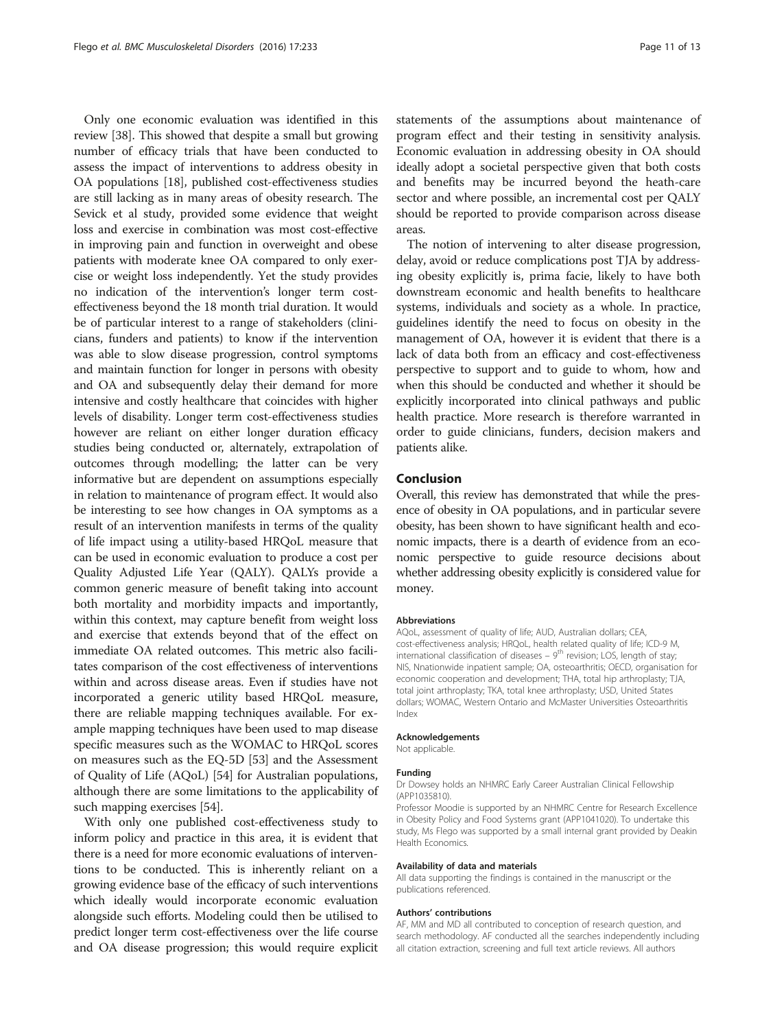Only one economic evaluation was identified in this review [[38](#page-11-0)]. This showed that despite a small but growing number of efficacy trials that have been conducted to assess the impact of interventions to address obesity in OA populations [[18](#page-11-0)], published cost-effectiveness studies are still lacking as in many areas of obesity research. The Sevick et al study, provided some evidence that weight loss and exercise in combination was most cost-effective in improving pain and function in overweight and obese patients with moderate knee OA compared to only exercise or weight loss independently. Yet the study provides no indication of the intervention's longer term costeffectiveness beyond the 18 month trial duration. It would be of particular interest to a range of stakeholders (clinicians, funders and patients) to know if the intervention was able to slow disease progression, control symptoms and maintain function for longer in persons with obesity and OA and subsequently delay their demand for more intensive and costly healthcare that coincides with higher levels of disability. Longer term cost-effectiveness studies however are reliant on either longer duration efficacy studies being conducted or, alternately, extrapolation of outcomes through modelling; the latter can be very informative but are dependent on assumptions especially in relation to maintenance of program effect. It would also be interesting to see how changes in OA symptoms as a result of an intervention manifests in terms of the quality of life impact using a utility-based HRQoL measure that can be used in economic evaluation to produce a cost per Quality Adjusted Life Year (QALY). QALYs provide a common generic measure of benefit taking into account both mortality and morbidity impacts and importantly, within this context, may capture benefit from weight loss and exercise that extends beyond that of the effect on immediate OA related outcomes. This metric also facilitates comparison of the cost effectiveness of interventions within and across disease areas. Even if studies have not incorporated a generic utility based HRQoL measure, there are reliable mapping techniques available. For example mapping techniques have been used to map disease specific measures such as the WOMAC to HRQoL scores on measures such as the EQ-5D [\[53\]](#page-12-0) and the Assessment of Quality of Life (AQoL) [[54](#page-12-0)] for Australian populations, although there are some limitations to the applicability of such mapping exercises [[54](#page-12-0)].

With only one published cost-effectiveness study to inform policy and practice in this area, it is evident that there is a need for more economic evaluations of interventions to be conducted. This is inherently reliant on a growing evidence base of the efficacy of such interventions which ideally would incorporate economic evaluation alongside such efforts. Modeling could then be utilised to predict longer term cost-effectiveness over the life course and OA disease progression; this would require explicit statements of the assumptions about maintenance of program effect and their testing in sensitivity analysis. Economic evaluation in addressing obesity in OA should ideally adopt a societal perspective given that both costs and benefits may be incurred beyond the heath-care sector and where possible, an incremental cost per QALY should be reported to provide comparison across disease areas.

The notion of intervening to alter disease progression, delay, avoid or reduce complications post TJA by addressing obesity explicitly is, prima facie, likely to have both downstream economic and health benefits to healthcare systems, individuals and society as a whole. In practice, guidelines identify the need to focus on obesity in the management of OA, however it is evident that there is a lack of data both from an efficacy and cost-effectiveness perspective to support and to guide to whom, how and when this should be conducted and whether it should be explicitly incorporated into clinical pathways and public health practice. More research is therefore warranted in order to guide clinicians, funders, decision makers and patients alike.

# Conclusion

Overall, this review has demonstrated that while the presence of obesity in OA populations, and in particular severe obesity, has been shown to have significant health and economic impacts, there is a dearth of evidence from an economic perspective to guide resource decisions about whether addressing obesity explicitly is considered value for money.

#### Abbreviations

AQoL, assessment of quality of life; AUD, Australian dollars; CEA, cost-effectiveness analysis; HRQoL, health related quality of life; ICD-9 M, international classification of diseases –  $9<sup>th</sup>$  revision; LOS, length of stay; NIS, Nnationwide inpatient sample; OA, osteoarthritis; OECD, organisation for economic cooperation and development; THA, total hip arthroplasty; TJA, total joint arthroplasty; TKA, total knee arthroplasty; USD, United States dollars; WOMAC, Western Ontario and McMaster Universities Osteoarthritis Index

#### Acknowledgements

Not applicable.

#### Funding

Dr Dowsey holds an NHMRC Early Career Australian Clinical Fellowship (APP1035810).

Professor Moodie is supported by an NHMRC Centre for Research Excellence in Obesity Policy and Food Systems grant (APP1041020). To undertake this study, Ms Flego was supported by a small internal grant provided by Deakin Health Economics.

#### Availability of data and materials

All data supporting the findings is contained in the manuscript or the publications referenced.

#### Authors' contributions

AF, MM and MD all contributed to conception of research question, and search methodology. AF conducted all the searches independently including all citation extraction, screening and full text article reviews. All authors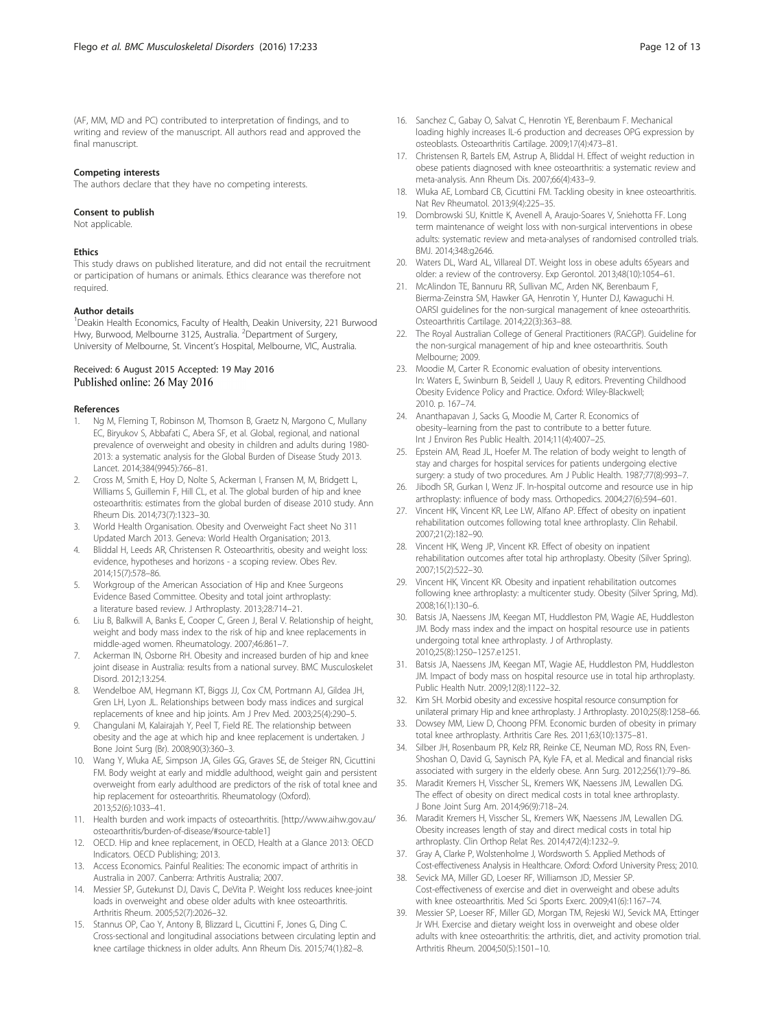<span id="page-11-0"></span>(AF, MM, MD and PC) contributed to interpretation of findings, and to writing and review of the manuscript. All authors read and approved the final manuscript.

#### Competing interests

Consent to publish

The authors declare that they have no competing interests.

# Not applicable

#### **Ethics**

This study draws on published literature, and did not entail the recruitment or participation of humans or animals. Ethics clearance was therefore not required.

#### Author details

<sup>1</sup> Deakin Health Economics, Faculty of Health, Deakin University, 221 Burwood Hwy, Burwood, Melbourne 3125, Australia. <sup>2</sup>Department of Surgery, University of Melbourne, St. Vincent's Hospital, Melbourne, VIC, Australia.

## Received: 6 August 2015 Accepted: 19 May 2016 Published online: 26 May 2016

#### References

- Ng M, Fleming T, Robinson M, Thomson B, Graetz N, Margono C, Mullany EC, Biryukov S, Abbafati C, Abera SF, et al. Global, regional, and national prevalence of overweight and obesity in children and adults during 1980- 2013: a systematic analysis for the Global Burden of Disease Study 2013. Lancet. 2014;384(9945):766–81.
- 2. Cross M, Smith E, Hoy D, Nolte S, Ackerman I, Fransen M, M, Bridgett L, Williams S, Guillemin F, Hill CL, et al. The global burden of hip and knee osteoarthritis: estimates from the global burden of disease 2010 study. Ann Rheum Dis. 2014;73(7):1323–30.
- 3. World Health Organisation. Obesity and Overweight Fact sheet No 311 Updated March 2013. Geneva: World Health Organisation; 2013.
- 4. Bliddal H, Leeds AR, Christensen R. Osteoarthritis, obesity and weight loss: evidence, hypotheses and horizons - a scoping review. Obes Rev. 2014;15(7):578–86.
- 5. Workgroup of the American Association of Hip and Knee Surgeons Evidence Based Committee. Obesity and total joint arthroplasty: a literature based review. J Arthroplasty. 2013;28:714–21.
- 6. Liu B, Balkwill A, Banks E, Cooper C, Green J, Beral V. Relationship of height, weight and body mass index to the risk of hip and knee replacements in middle-aged women. Rheumatology. 2007;46:861–7.
- Ackerman IN, Osborne RH. Obesity and increased burden of hip and knee joint disease in Australia: results from a national survey. BMC Musculoskelet Disord. 2012;13:254.
- 8. Wendelboe AM, Hegmann KT, Biggs JJ, Cox CM, Portmann AJ, Gildea JH, Gren LH, Lyon JL. Relationships between body mass indices and surgical replacements of knee and hip joints. Am J Prev Med. 2003;25(4):290–5.
- 9. Changulani M, Kalairajah Y, Peel T, Field RE. The relationship between obesity and the age at which hip and knee replacement is undertaken. J Bone Joint Surg (Br). 2008;90(3):360–3.
- 10. Wang Y, Wluka AE, Simpson JA, Giles GG, Graves SE, de Steiger RN, Cicuttini FM. Body weight at early and middle adulthood, weight gain and persistent overweight from early adulthood are predictors of the risk of total knee and hip replacement for osteoarthritis. Rheumatology (Oxford). 2013;52(6):1033–41.
- 11. Health burden and work impacts of osteoarthritis. [\[http://www.aihw.gov.au/](http://www.aihw.gov.au/osteoarthritis/burden-of-disease/#source-table1) [osteoarthritis/burden-of-disease/#source-table1\]](http://www.aihw.gov.au/osteoarthritis/burden-of-disease/#source-table1)
- 12. OECD. Hip and knee replacement, in OECD, Health at a Glance 2013: OECD Indicators. OECD Publishing; 2013.
- 13. Access Economics. Painful Realities: The economic impact of arthritis in Australia in 2007. Canberra: Arthritis Australia; 2007.
- 14. Messier SP, Gutekunst DJ, Davis C, DeVita P. Weight loss reduces knee-joint loads in overweight and obese older adults with knee osteoarthritis. Arthritis Rheum. 2005;52(7):2026–32.
- 15. Stannus OP, Cao Y, Antony B, Blizzard L, Cicuttini F, Jones G, Ding C. Cross-sectional and longitudinal associations between circulating leptin and knee cartilage thickness in older adults. Ann Rheum Dis. 2015;74(1):82–8.
- 16. Sanchez C, Gabay O, Salvat C, Henrotin YE, Berenbaum F. Mechanical loading highly increases IL-6 production and decreases OPG expression by osteoblasts. Osteoarthritis Cartilage. 2009;17(4):473–81.
- 17. Christensen R, Bartels EM, Astrup A, Bliddal H. Effect of weight reduction in obese patients diagnosed with knee osteoarthritis: a systematic review and meta-analysis. Ann Rheum Dis. 2007;66(4):433–9.
- 18. Wluka AE, Lombard CB, Cicuttini FM. Tackling obesity in knee osteoarthritis. Nat Rev Rheumatol. 2013;9(4):225–35.
- 19. Dombrowski SU, Knittle K, Avenell A, Araujo-Soares V, Sniehotta FF. Long term maintenance of weight loss with non-surgical interventions in obese adults: systematic review and meta-analyses of randomised controlled trials. BMJ. 2014;348:g2646.
- 20. Waters DL, Ward AL, Villareal DT. Weight loss in obese adults 65years and older: a review of the controversy. Exp Gerontol. 2013;48(10):1054–61.
- 21. McAlindon TE, Bannuru RR, Sullivan MC, Arden NK, Berenbaum F, Bierma-Zeinstra SM, Hawker GA, Henrotin Y, Hunter DJ, Kawaguchi H. OARSI guidelines for the non-surgical management of knee osteoarthritis. Osteoarthritis Cartilage. 2014;22(3):363–88.
- 22. The Royal Australian College of General Practitioners (RACGP). Guideline for the non-surgical management of hip and knee osteoarthritis. South Melbourne; 2009.
- 23. Moodie M, Carter R. Economic evaluation of obesity interventions. In: Waters E, Swinburn B, Seidell J, Uauy R, editors. Preventing Childhood Obesity Evidence Policy and Practice. Oxford: Wiley-Blackwell; 2010. p. 167–74.
- 24. Ananthapavan J, Sacks G, Moodie M, Carter R. Economics of obesity–learning from the past to contribute to a better future. Int J Environ Res Public Health. 2014;11(4):4007–25.
- 25. Epstein AM, Read JL, Hoefer M. The relation of body weight to length of stay and charges for hospital services for patients undergoing elective surgery: a study of two procedures. Am J Public Health. 1987;77(8):993-7.
- 26. Jibodh SR, Gurkan I, Wenz JF. In-hospital outcome and resource use in hip arthroplasty: influence of body mass. Orthopedics. 2004;27(6):594–601.
- 27. Vincent HK, Vincent KR, Lee LW, Alfano AP. Effect of obesity on inpatient rehabilitation outcomes following total knee arthroplasty. Clin Rehabil. 2007;21(2):182–90.
- 28. Vincent HK, Weng JP, Vincent KR. Effect of obesity on inpatient rehabilitation outcomes after total hip arthroplasty. Obesity (Silver Spring). 2007;15(2):522–30.
- 29. Vincent HK, Vincent KR. Obesity and inpatient rehabilitation outcomes following knee arthroplasty: a multicenter study. Obesity (Silver Spring, Md). 2008;16(1):130–6.
- 30. Batsis JA, Naessens JM, Keegan MT, Huddleston PM, Wagie AE, Huddleston JM. Body mass index and the impact on hospital resource use in patients undergoing total knee arthroplasty. J of Arthroplasty. 2010;25(8):1250–1257.e1251.
- 31. Batsis JA, Naessens JM, Keegan MT, Wagie AE, Huddleston PM, Huddleston JM. Impact of body mass on hospital resource use in total hip arthroplasty. Public Health Nutr. 2009;12(8):1122–32.
- 32. Kim SH. Morbid obesity and excessive hospital resource consumption for unilateral primary Hip and knee arthroplasty. J Arthroplasty. 2010;25(8):1258–66.
- 33. Dowsey MM, Liew D, Choong PFM. Economic burden of obesity in primary total knee arthroplasty. Arthritis Care Res. 2011;63(10):1375–81.
- 34. Silber JH, Rosenbaum PR, Kelz RR, Reinke CE, Neuman MD, Ross RN, Even-Shoshan O, David G, Saynisch PA, Kyle FA, et al. Medical and financial risks associated with surgery in the elderly obese. Ann Surg. 2012;256(1):79–86.
- 35. Maradit Kremers H, Visscher SL, Kremers WK, Naessens JM, Lewallen DG. The effect of obesity on direct medical costs in total knee arthroplasty. J Bone Joint Surg Am. 2014;96(9):718–24.
- 36. Maradit Kremers H, Visscher SL, Kremers WK, Naessens JM, Lewallen DG. Obesity increases length of stay and direct medical costs in total hip arthroplasty. Clin Orthop Relat Res. 2014;472(4):1232–9.
- 37. Gray A, Clarke P, Wolstenholme J, Wordsworth S. Applied Methods of Cost-effectiveness Analysis in Healthcare. Oxford: Oxford University Press; 2010.
- Sevick MA, Miller GD, Loeser RF, Williamson JD, Messier SP. Cost-effectiveness of exercise and diet in overweight and obese adults with knee osteoarthritis. Med Sci Sports Exerc. 2009;41(6):1167–74.
- 39. Messier SP, Loeser RF, Miller GD, Morgan TM, Rejeski WJ, Sevick MA, Ettinger Jr WH. Exercise and dietary weight loss in overweight and obese older adults with knee osteoarthritis: the arthritis, diet, and activity promotion trial. Arthritis Rheum. 2004;50(5):1501–10.